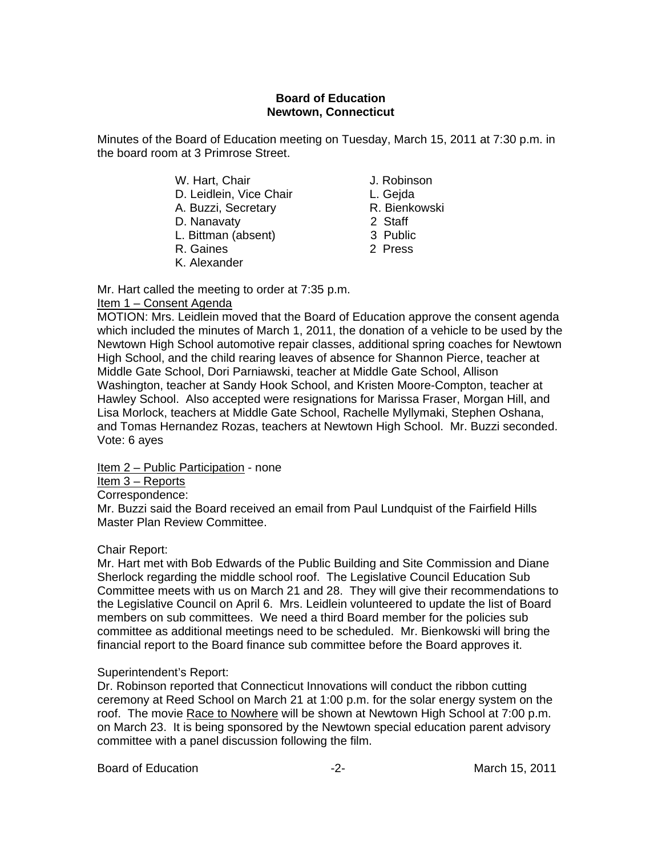## **Board of Education Newtown, Connecticut**

Minutes of the Board of Education meeting on Tuesday, March 15, 2011 at 7:30 p.m. in the board room at 3 Primrose Street.

- W. Hart, Chair **J. Robinson**
- D. Leidlein, Vice Chair **L. Gejda**
- A. Buzzi, Secretary **R. Bienkowski**
- D. Nanavaty 2 Staff
- L. Bittman (absent) 3 Public
- R. Gaines 2 Press
- K. Alexander
- 
- 
- 
- 
- 
- 

Mr. Hart called the meeting to order at 7:35 p.m.

# Item 1 – Consent Agenda

MOTION: Mrs. Leidlein moved that the Board of Education approve the consent agenda which included the minutes of March 1, 2011, the donation of a vehicle to be used by the Newtown High School automotive repair classes, additional spring coaches for Newtown High School, and the child rearing leaves of absence for Shannon Pierce, teacher at Middle Gate School, Dori Parniawski, teacher at Middle Gate School, Allison Washington, teacher at Sandy Hook School, and Kristen Moore-Compton, teacher at Hawley School. Also accepted were resignations for Marissa Fraser, Morgan Hill, and Lisa Morlock, teachers at Middle Gate School, Rachelle Myllymaki, Stephen Oshana, and Tomas Hernandez Rozas, teachers at Newtown High School. Mr. Buzzi seconded. Vote: 6 ayes

Item 2 – Public Participation - none

Item 3 – Reports

Correspondence:

Mr. Buzzi said the Board received an email from Paul Lundquist of the Fairfield Hills Master Plan Review Committee.

# Chair Report:

Mr. Hart met with Bob Edwards of the Public Building and Site Commission and Diane Sherlock regarding the middle school roof. The Legislative Council Education Sub Committee meets with us on March 21 and 28. They will give their recommendations to the Legislative Council on April 6. Mrs. Leidlein volunteered to update the list of Board members on sub committees. We need a third Board member for the policies sub committee as additional meetings need to be scheduled. Mr. Bienkowski will bring the financial report to the Board finance sub committee before the Board approves it.

# Superintendent's Report:

Dr. Robinson reported that Connecticut Innovations will conduct the ribbon cutting ceremony at Reed School on March 21 at 1:00 p.m. for the solar energy system on the roof. The movie Race to Nowhere will be shown at Newtown High School at 7:00 p.m. on March 23. It is being sponsored by the Newtown special education parent advisory committee with a panel discussion following the film.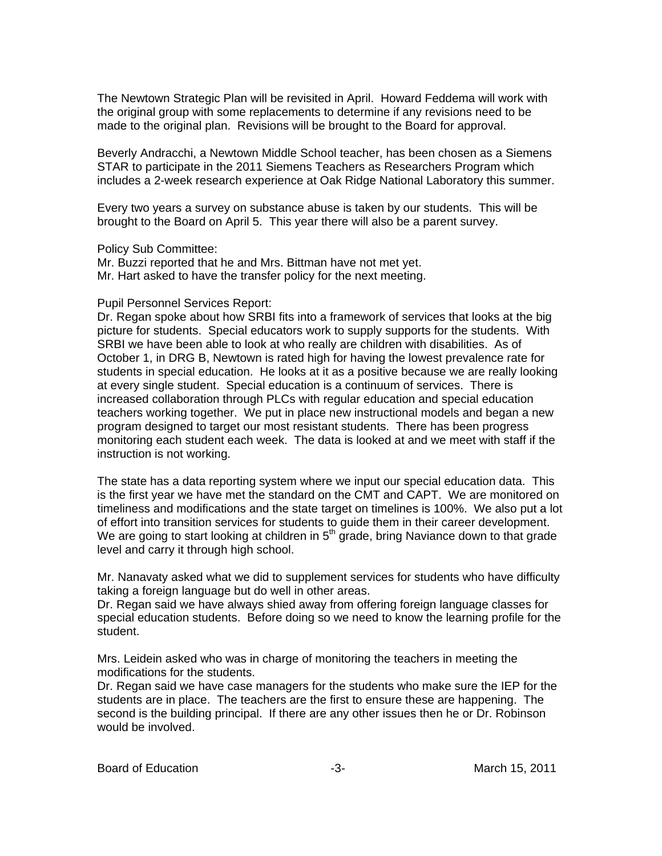The Newtown Strategic Plan will be revisited in April. Howard Feddema will work with the original group with some replacements to determine if any revisions need to be made to the original plan. Revisions will be brought to the Board for approval.

Beverly Andracchi, a Newtown Middle School teacher, has been chosen as a Siemens STAR to participate in the 2011 Siemens Teachers as Researchers Program which includes a 2-week research experience at Oak Ridge National Laboratory this summer.

Every two years a survey on substance abuse is taken by our students. This will be brought to the Board on April 5. This year there will also be a parent survey.

Policy Sub Committee:

Mr. Buzzi reported that he and Mrs. Bittman have not met yet. Mr. Hart asked to have the transfer policy for the next meeting.

## Pupil Personnel Services Report:

Dr. Regan spoke about how SRBI fits into a framework of services that looks at the big picture for students. Special educators work to supply supports for the students. With SRBI we have been able to look at who really are children with disabilities. As of October 1, in DRG B, Newtown is rated high for having the lowest prevalence rate for students in special education. He looks at it as a positive because we are really looking at every single student. Special education is a continuum of services. There is increased collaboration through PLCs with regular education and special education teachers working together. We put in place new instructional models and began a new program designed to target our most resistant students. There has been progress monitoring each student each week. The data is looked at and we meet with staff if the instruction is not working.

The state has a data reporting system where we input our special education data. This is the first year we have met the standard on the CMT and CAPT. We are monitored on timeliness and modifications and the state target on timelines is 100%. We also put a lot of effort into transition services for students to guide them in their career development. We are going to start looking at children in  $5<sup>th</sup>$  grade, bring Naviance down to that grade level and carry it through high school.

Mr. Nanavaty asked what we did to supplement services for students who have difficulty taking a foreign language but do well in other areas.

Dr. Regan said we have always shied away from offering foreign language classes for special education students. Before doing so we need to know the learning profile for the student.

Mrs. Leidein asked who was in charge of monitoring the teachers in meeting the modifications for the students.

Dr. Regan said we have case managers for the students who make sure the IEP for the students are in place. The teachers are the first to ensure these are happening. The second is the building principal. If there are any other issues then he or Dr. Robinson would be involved.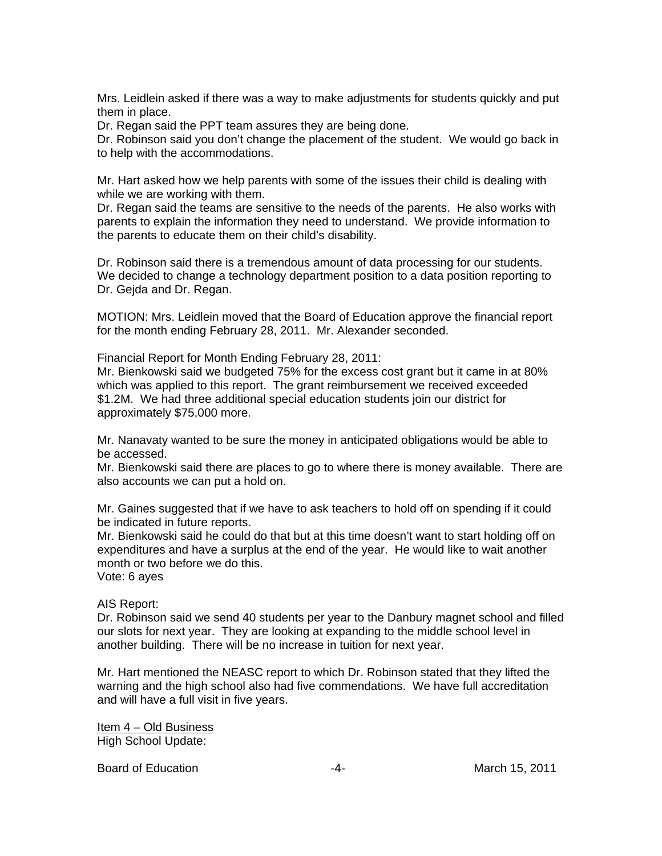Mrs. Leidlein asked if there was a way to make adjustments for students quickly and put them in place.

Dr. Regan said the PPT team assures they are being done.

Dr. Robinson said you don't change the placement of the student. We would go back in to help with the accommodations.

Mr. Hart asked how we help parents with some of the issues their child is dealing with while we are working with them.

Dr. Regan said the teams are sensitive to the needs of the parents. He also works with parents to explain the information they need to understand. We provide information to the parents to educate them on their child's disability.

Dr. Robinson said there is a tremendous amount of data processing for our students. We decided to change a technology department position to a data position reporting to Dr. Gejda and Dr. Regan.

MOTION: Mrs. Leidlein moved that the Board of Education approve the financial report for the month ending February 28, 2011. Mr. Alexander seconded.

Financial Report for Month Ending February 28, 2011:

Mr. Bienkowski said we budgeted 75% for the excess cost grant but it came in at 80% which was applied to this report. The grant reimbursement we received exceeded \$1.2M. We had three additional special education students join our district for approximately \$75,000 more.

Mr. Nanavaty wanted to be sure the money in anticipated obligations would be able to be accessed.

Mr. Bienkowski said there are places to go to where there is money available. There are also accounts we can put a hold on.

Mr. Gaines suggested that if we have to ask teachers to hold off on spending if it could be indicated in future reports.

Mr. Bienkowski said he could do that but at this time doesn't want to start holding off on expenditures and have a surplus at the end of the year. He would like to wait another month or two before we do this.

Vote: 6 ayes

AIS Report:

Dr. Robinson said we send 40 students per year to the Danbury magnet school and filled our slots for next year. They are looking at expanding to the middle school level in another building. There will be no increase in tuition for next year.

Mr. Hart mentioned the NEASC report to which Dr. Robinson stated that they lifted the warning and the high school also had five commendations. We have full accreditation and will have a full visit in five years.

Item 4 – Old Business High School Update:

Board of Education  $-4 -4-$  March 15, 2011